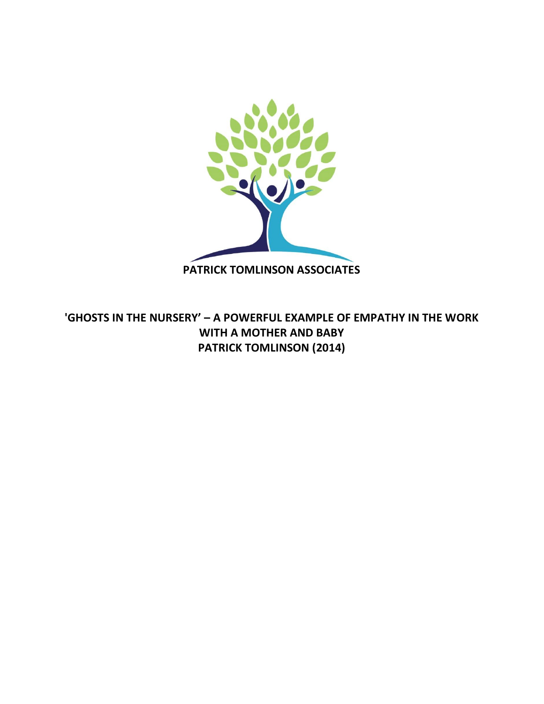

**'GHOSTS IN THE NURSERY' – A POWERFUL EXAMPLE OF EMPATHY IN THE WORK WITH A MOTHER AND BABY PATRICK TOMLINSON (2014)**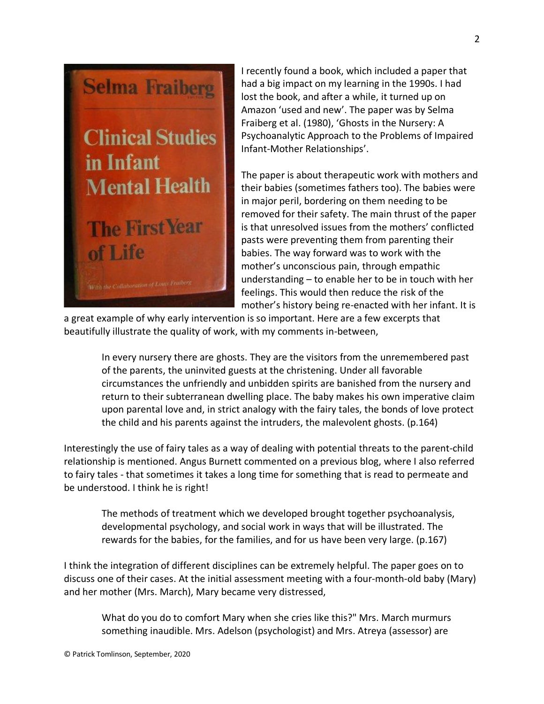

I recently found a book, which included a paper that had a big impact on my learning in the 1990s. I had lost the book, and after a while, it turned up on Amazon 'used and new'. The paper was by Selma Fraiberg et al. (1980), 'Ghosts in the Nursery: A Psychoanalytic Approach to the Problems of Impaired Infant-Mother Relationships'.

The paper is about therapeutic work with mothers and their babies (sometimes fathers too). The babies were in major peril, bordering on them needing to be removed for their safety. The main thrust of the paper is that unresolved issues from the mothers' conflicted pasts were preventing them from parenting their babies. The way forward was to work with the mother's unconscious pain, through empathic understanding – to enable her to be in touch with her feelings. This would then reduce the risk of the mother's history being re-enacted with her infant. It is

a great example of why early intervention is so important. Here are a few excerpts that beautifully illustrate the quality of work, with my comments in-between,

In every nursery there are ghosts. They are the visitors from the unremembered past of the parents, the uninvited guests at the christening. Under all favorable circumstances the unfriendly and unbidden spirits are banished from the nursery and return to their subterranean dwelling place. The baby makes his own imperative claim upon parental love and, in strict analogy with the fairy tales, the bonds of love protect the child and his parents against the intruders, the malevolent ghosts. (p.164)

Interestingly the use of fairy tales as a way of dealing with potential threats to the parent-child relationship is mentioned. Angus Burnett commented on a previous blog, where I also referred to fairy tales - that sometimes it takes a long time for something that is read to permeate and be understood. I think he is right!

The methods of treatment which we developed brought together psychoanalysis, developmental psychology, and social work in ways that will be illustrated. The rewards for the babies, for the families, and for us have been very large. (p.167)

I think the integration of different disciplines can be extremely helpful. The paper goes on to discuss one of their cases. At the initial assessment meeting with a four-month-old baby (Mary) and her mother (Mrs. March), Mary became very distressed,

What do you do to comfort Mary when she cries like this?" Mrs. March murmurs something inaudible. Mrs. Adelson (psychologist) and Mrs. Atreya (assessor) are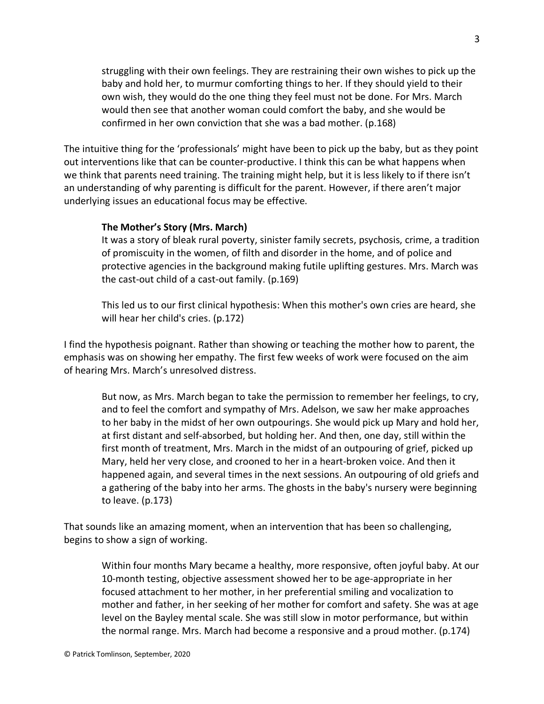struggling with their own feelings. They are restraining their own wishes to pick up the baby and hold her, to murmur comforting things to her. If they should yield to their own wish, they would do the one thing they feel must not be done. For Mrs. March would then see that another woman could comfort the baby, and she would be confirmed in her own conviction that she was a bad mother. (p.168)

The intuitive thing for the 'professionals' might have been to pick up the baby, but as they point out interventions like that can be counter-productive. I think this can be what happens when we think that parents need training. The training might help, but it is less likely to if there isn't an understanding of why parenting is difficult for the parent. However, if there aren't major underlying issues an educational focus may be effective.

# **The Mother's Story (Mrs. March)**

It was a story of bleak rural poverty, sinister family secrets, psychosis, crime, a tradition of promiscuity in the women, of filth and disorder in the home, and of police and protective agencies in the background making futile uplifting gestures. Mrs. March was the cast-out child of a cast-out family. (p.169)

This led us to our first clinical hypothesis: When this mother's own cries are heard, she will hear her child's cries. (p.172)

I find the hypothesis poignant. Rather than showing or teaching the mother how to parent, the emphasis was on showing her empathy. The first few weeks of work were focused on the aim of hearing Mrs. March's unresolved distress.

But now, as Mrs. March began to take the permission to remember her feelings, to cry, and to feel the comfort and sympathy of Mrs. Adelson, we saw her make approaches to her baby in the midst of her own outpourings. She would pick up Mary and hold her, at first distant and self-absorbed, but holding her. And then, one day, still within the first month of treatment, Mrs. March in the midst of an outpouring of grief, picked up Mary, held her very close, and crooned to her in a heart-broken voice. And then it happened again, and several times in the next sessions. An outpouring of old griefs and a gathering of the baby into her arms. The ghosts in the baby's nursery were beginning to leave. (p.173)

That sounds like an amazing moment, when an intervention that has been so challenging, begins to show a sign of working.

Within four months Mary became a healthy, more responsive, often joyful baby. At our 10-month testing, objective assessment showed her to be age-appropriate in her focused attachment to her mother, in her preferential smiling and vocalization to mother and father, in her seeking of her mother for comfort and safety. She was at age level on the Bayley mental scale. She was still slow in motor performance, but within the normal range. Mrs. March had become a responsive and a proud mother. (p.174)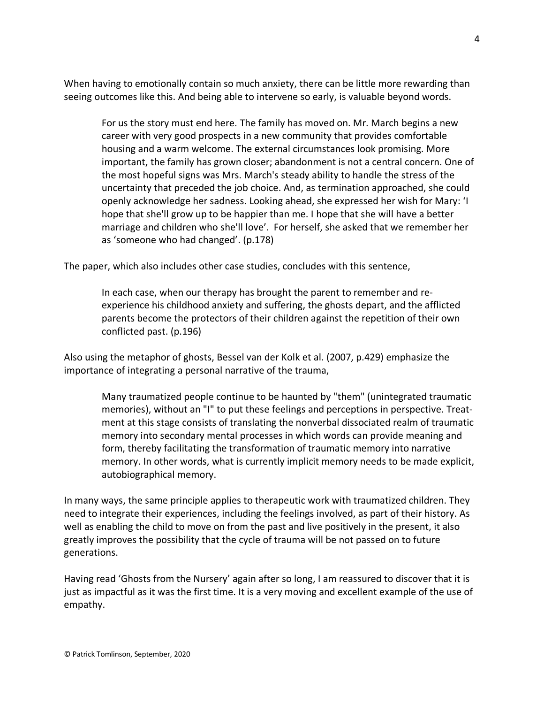When having to emotionally contain so much anxiety, there can be little more rewarding than seeing outcomes like this. And being able to intervene so early, is valuable beyond words.

For us the story must end here. The family has moved on. Mr. March begins a new career with very good prospects in a new community that provides comfortable housing and a warm welcome. The external circumstances look promising. More important, the family has grown closer; abandonment is not a central concern. One of the most hopeful signs was Mrs. March's steady ability to handle the stress of the uncertainty that preceded the job choice. And, as termination approached, she could openly acknowledge her sadness. Looking ahead, she expressed her wish for Mary: 'I hope that she'll grow up to be happier than me. I hope that she will have a better marriage and children who she'll love'. For herself, she asked that we remember her as 'someone who had changed'. (p.178)

The paper, which also includes other case studies, concludes with this sentence,

In each case, when our therapy has brought the parent to remember and reexperience his childhood anxiety and suffering, the ghosts depart, and the afflicted parents become the protectors of their children against the repetition of their own conflicted past. (p.196)

Also using the metaphor of ghosts, Bessel van der Kolk et al. (2007, p.429) emphasize the importance of integrating a personal narrative of the trauma,

Many traumatized people continue to be haunted by "them" (unintegrated traumatic memories), without an "I" to put these feelings and perceptions in perspective. Treatment at this stage consists of translating the nonverbal dissociated realm of traumatic memory into secondary mental processes in which words can provide meaning and form, thereby facilitating the transformation of traumatic memory into narrative memory. In other words, what is currently implicit memory needs to be made explicit, autobiographical memory.

In many ways, the same principle applies to therapeutic work with traumatized children. They need to integrate their experiences, including the feelings involved, as part of their history. As well as enabling the child to move on from the past and live positively in the present, it also greatly improves the possibility that the cycle of trauma will be not passed on to future generations.

Having read 'Ghosts from the Nursery' again after so long, I am reassured to discover that it is just as impactful as it was the first time. It is a very moving and excellent example of the use of empathy.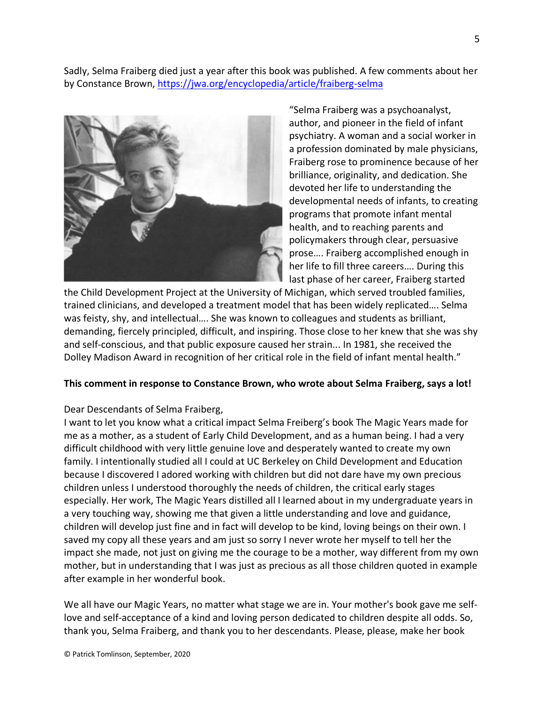Sadly, Selma Fraiberg died just a year after this book was published. A few comments about her by Constance Brown, <https://jwa.org/encyclopedia/article/fraiberg-selma>



"Selma Fraiberg was a psychoanalyst, author, and pioneer in the field of infant psychiatry. A woman and a social worker in a profession dominated by male physicians, Fraiberg rose to prominence because of her brilliance, originality, and dedication. She devoted her life to understanding the developmental needs of infants, to creating programs that promote infant mental health, and to reaching parents and policymakers through clear, persuasive prose…. Fraiberg accomplished enough in her life to fill three careers…. During this last phase of her career, Fraiberg started

the Child Development Project at the University of Michigan, which served troubled families, trained clinicians, and developed a treatment model that has been widely replicated…. Selma was feisty, shy, and intellectual…. She was known to colleagues and students as brilliant, demanding, fiercely principled, difficult, and inspiring. Those close to her knew that she was shy and self-conscious, and that public exposure caused her strain... In 1981, she received the Dolley Madison Award in recognition of her critical role in the field of infant mental health."

### **This comment in response to Constance Brown, who wrote about Selma Fraiberg, says a lot!**

#### Dear Descendants of Selma Fraiberg,

I want to let you know what a critical impact Selma Freiberg's book The Magic Years made for me as a mother, as a student of Early Child Development, and as a human being. I had a very difficult childhood with very little genuine love and desperately wanted to create my own family. I intentionally studied all I could at UC Berkeley on Child Development and Education because I discovered I adored working with children but did not dare have my own precious children unless I understood thoroughly the needs of children, the critical early stages especially. Her work, The Magic Years distilled all I learned about in my undergraduate years in a very touching way, showing me that given a little understanding and love and guidance, children will develop just fine and in fact will develop to be kind, loving beings on their own. I saved my copy all these years and am just so sorry I never wrote her myself to tell her the impact she made, not just on giving me the courage to be a mother, way different from my own mother, but in understanding that I was just as precious as all those children quoted in example after example in her wonderful book.

We all have our Magic Years, no matter what stage we are in. Your mother's book gave me selflove and self-acceptance of a kind and loving person dedicated to children despite all odds. So, thank you, Selma Fraiberg, and thank you to her descendants. Please, please, make her book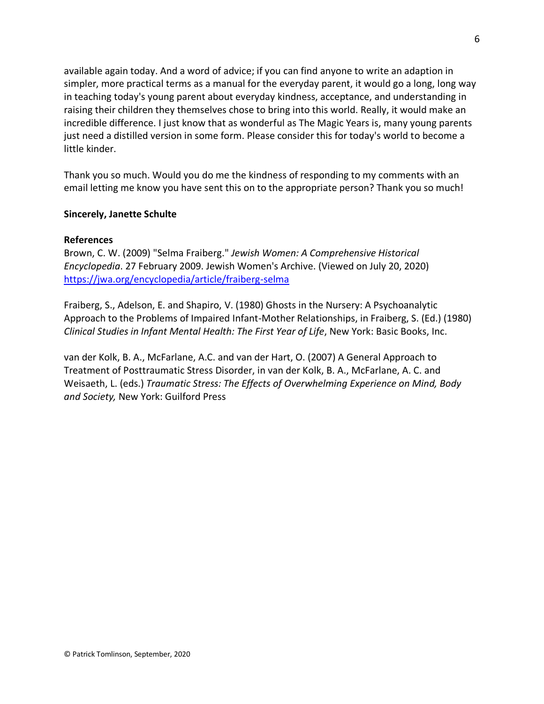available again today. And a word of advice; if you can find anyone to write an adaption in simpler, more practical terms as a manual for the everyday parent, it would go a long, long way in teaching today's young parent about everyday kindness, acceptance, and understanding in raising their children they themselves chose to bring into this world. Really, it would make an incredible difference. I just know that as wonderful as The Magic Years is, many young parents just need a distilled version in some form. Please consider this for today's world to become a little kinder.

Thank you so much. Would you do me the kindness of responding to my comments with an email letting me know you have sent this on to the appropriate person? Thank you so much!

### **Sincerely, Janette Schulte**

## **References**

Brown, C. W. (2009) "Selma Fraiberg." *Jewish Women: A Comprehensive Historical Encyclopedia*. 27 February 2009. Jewish Women's Archive. (Viewed on July 20, 2020) <https://jwa.org/encyclopedia/article/fraiberg-selma>

Fraiberg, S., Adelson, E. and Shapiro, V. (1980) Ghosts in the Nursery: A Psychoanalytic Approach to the Problems of Impaired Infant-Mother Relationships, in Fraiberg, S. (Ed.) (1980) *Clinical Studies in Infant Mental Health: The First Year of Life*, New York: Basic Books, Inc.

van der Kolk, B. A., McFarlane, A.C. and van der Hart, O. (2007) A General Approach to Treatment of Posttraumatic Stress Disorder, in van der Kolk, B. A., McFarlane, A. C. and Weisaeth, L. (eds.) *Traumatic Stress: The Effects of Overwhelming Experience on Mind, Body and Society,* New York: Guilford Press